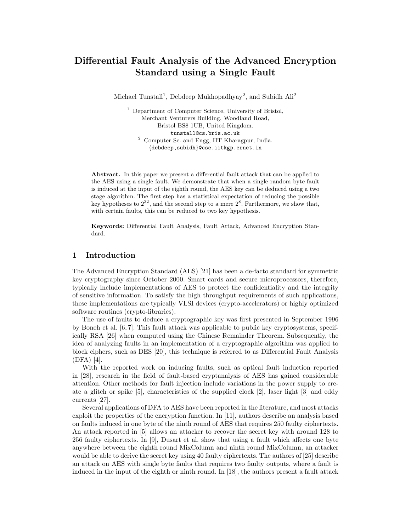# Differential Fault Analysis of the Advanced Encryption Standard using a Single Fault

Michael Tunstall<sup>1</sup>, Debdeep Mukhopadhyay<sup>2</sup>, and Subidh Ali<sup>2</sup>

<sup>1</sup> Department of Computer Science, University of Bristol, Merchant Venturers Building, Woodland Road, Bristol BS8 1UB, United Kingdom. tunstall@cs.bris.ac.uk <sup>2</sup> Computer Sc. and Engg, IIT Kharagpur, India. {debdeep,subidh}@cse.iitkgp.ernet.in

Abstract. In this paper we present a differential fault attack that can be applied to the AES using a single fault. We demonstrate that when a single random byte fault is induced at the input of the eighth round, the AES key can be deduced using a two stage algorithm. The first step has a statistical expectation of reducing the possible key hypotheses to  $2^{32}$ , and the second step to a mere  $2^8$ . Furthermore, we show that, with certain faults, this can be reduced to two key hypothesis.

Keywords: Differential Fault Analysis, Fault Attack, Advanced Encryption Standard.

# 1 Introduction

The Advanced Encryption Standard (AES) [21] has been a de-facto standard for symmetric key cryptography since October 2000. Smart cards and secure microprocessors, therefore, typically include implementations of AES to protect the confidentiality and the integrity of sensitive information. To satisfy the high throughput requirements of such applications, these implementations are typically VLSI devices (crypto-accelerators) or highly optimized software routines (crypto-libraries).

The use of faults to deduce a cryptographic key was first presented in September 1996 by Boneh et al. [6, 7]. This fault attack was applicable to public key cryptosystems, specifically RSA [26] when computed using the Chinese Remainder Theorem. Subsequently, the idea of analyzing faults in an implementation of a cryptographic algorithm was applied to block ciphers, such as DES [20], this technique is referred to as Differential Fault Analysis (DFA) [4].

With the reported work on inducing faults, such as optical fault induction reported in [28], research in the field of fault-based cryptanalysis of AES has gained considerable attention. Other methods for fault injection include variations in the power supply to create a glitch or spike [5], characteristics of the supplied clock [2], laser light [3] and eddy currents [27].

Several applications of DFA to AES have been reported in the literature, and most attacks exploit the properties of the encryption function. In [11], authors describe an analysis based on faults induced in one byte of the ninth round of AES that requires 250 faulty ciphertexts. An attack reported in [5] allows an attacker to recover the secret key with around 128 to 256 faulty ciphertexts. In [9], Dusart et al. show that using a fault which affects one byte anywhere between the eighth round MixColumn and ninth round MixColumn, an attacker would be able to derive the secret key using 40 faulty ciphertexts. The authors of [25] describe an attack on AES with single byte faults that requires two faulty outputs, where a fault is induced in the input of the eighth or ninth round. In [18], the authors present a fault attack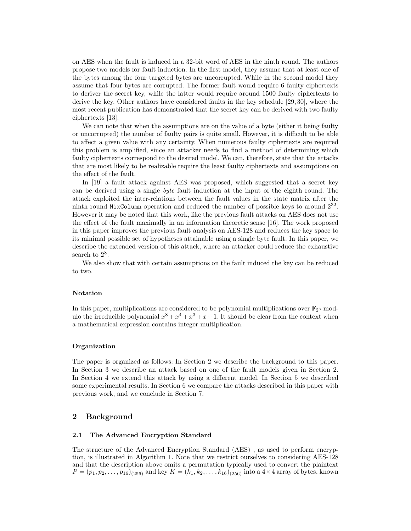on AES when the fault is induced in a 32-bit word of AES in the ninth round. The authors propose two models for fault induction. In the first model, they assume that at least one of the bytes among the four targeted bytes are uncorrupted. While in the second model they assume that four bytes are corrupted. The former fault would require 6 faulty ciphertexts to deriver the secret key, while the latter would require around 1500 faulty ciphertexts to derive the key. Other authors have considered faults in the key schedule [29, 30], where the most recent publication has demonstrated that the secret key can be derived with two faulty ciphertexts [13].

We can note that when the assumptions are on the value of a byte (either it being faulty or uncorrupted) the number of faulty pairs is quite small. However, it is difficult to be able to affect a given value with any certainty. When numerous faulty ciphertexts are required this problem is amplified, since an attacker needs to find a method of determining which faulty ciphertexts correspond to the desired model. We can, therefore, state that the attacks that are most likely to be realizable require the least faulty ciphertexts and assumptions on the effect of the fault.

In [19] a fault attack against AES was proposed, which suggested that a secret key can be derived using a single byte fault induction at the input of the eighth round. The attack exploited the inter-relations between the fault values in the state matrix after the ninth round MixColumn operation and reduced the number of possible keys to around  $2^{32}$ . However it may be noted that this work, like the previous fault attacks on AES does not use the effect of the fault maximally in an information theoretic sense [16]. The work proposed in this paper improves the previous fault analysis on AES-128 and reduces the key space to its minimal possible set of hypotheses attainable using a single byte fault. In this paper, we describe the extended version of this attack, where an attacker could reduce the exhaustive search to  $2^8$ .

We also show that with certain assumptions on the fault induced the key can be reduced to two.

#### Notation

In this paper, multiplications are considered to be polynomial multiplications over  $\mathbb{F}_{2^8}$  modulo the irreducible polynomial  $x^8 + x^4 + x^3 + x + 1$ . It should be clear from the context when a mathematical expression contains integer multiplication.

#### Organization

The paper is organized as follows: In Section 2 we describe the background to this paper. In Section 3 we describe an attack based on one of the fault models given in Section 2. In Section 4 we extend this attack by using a different model. In Section 5 we described some experimental results. In Section 6 we compare the attacks described in this paper with previous work, and we conclude in Section 7.

# 2 Background

### 2.1 The Advanced Encryption Standard

The structure of the Advanced Encryption Standard (AES) , as used to perform encryption, is illustrated in Algorithm 1. Note that we restrict ourselves to considering AES-128 and that the description above omits a permutation typically used to convert the plaintext  $P = (p_1, p_2, \ldots, p_{16})_{(256)}$  and key  $K = (k_1, k_2, \ldots, k_{16})_{(256)}$  into a  $4 \times 4$  array of bytes, known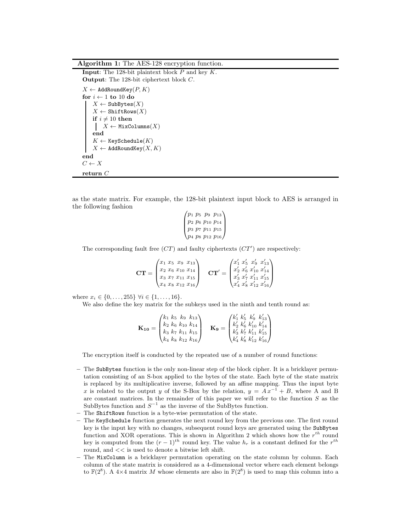Algorithm 1: The AES-128 encryption function.

```
Input: The 128-bit plaintext block P and key K.
Output: The 128-bit ciphertext block C.
X \leftarrow AddRoundKey(P, K)for i \leftarrow 1 to 10 do
    X \leftarrow SubBytes(X)X \leftarrow ShiftRows(X)if i \neq 10 then
     X \leftarrow MixColumns(X)end
    K \leftarrow KeySchedule(K)X \leftarrow AddRoundKey(X, K)end
C \leftarrow Xreturn\mathcal C
```
as the state matrix. For example, the 128-bit plaintext input block to AES is arranged in the following fashion

> $\sqrt{ }$  $\vert$ p<sup>1</sup> p<sup>5</sup> p<sup>9</sup> p<sup>13</sup> p<sup>2</sup> p<sup>6</sup> p<sup>10</sup> p<sup>14</sup> p<sup>3</sup> p<sup>7</sup> p<sup>11</sup> p<sup>15</sup> p<sup>4</sup> p<sup>8</sup> p<sup>12</sup> p<sup>16</sup>  $\setminus$  $\overline{\phantom{a}}$

The corresponding fault free  $(TT)$  and faulty ciphertexts  $(TT')$  are respectively:

$$
\mathbf{CT} = \begin{pmatrix} x_1 & x_5 & x_9 & x_{13} \\ x_2 & x_6 & x_{10} & x_{14} \\ x_3 & x_7 & x_{11} & x_{15} \\ x_4 & x_8 & x_{12} & x_{16} \end{pmatrix} \quad \mathbf{CT}' = \begin{pmatrix} x'_1 & x'_5 & x'_9 & x'_{13} \\ x'_2 & x'_6 & x'_{10} & x'_{14} \\ x'_3 & x'_7 & x'_{11} & x'_{15} \\ x'_4 & x'_8 & x'_{12} & x'_{16} \end{pmatrix}
$$

where  $x_i \in \{0, \ldots, 255\} \; \forall i \in \{1, \ldots, 16\}.$ 

We also define the key matrix for the subkeys used in the ninth and tenth round as:

$$
\mathbf{K_{10}} = \begin{pmatrix} k_1 & k_5 & k_9 & k_{13} \\ k_2 & k_6 & k_{10} & k_{14} \\ k_3 & k_7 & k_{11} & k_{15} \\ k_4 & k_8 & k_{12} & k_{16} \end{pmatrix} \quad \mathbf{K_9} = \begin{pmatrix} k'_1 & k'_5 & k'_9 & k'_{13} \\ k'_2 & k'_6 & k'_{10} & k'_{14} \\ k'_3 & k'_7 & k'_{11} & k'_{15} \\ k'_4 & k'_8 & k'_{12} & k'_{16} \end{pmatrix}
$$

The encryption itself is conducted by the repeated use of a number of round functions:

- The SubBytes function is the only non-linear step of the block cipher. It is a bricklayer permutation consisting of an S-box applied to the bytes of the state. Each byte of the state matrix is replaced by its multiplicative inverse, followed by an affine mapping. Thus the input byte x is related to the output y of the S-Box by the relation,  $y = Ax^{-1} + B$ , where A and B are constant matrices. In the remainder of this paper we will refer to the function  $S$  as the SubBytes function and  $S^{-1}$  as the inverse of the SubBytes function.
- The ShiftRows function is a byte-wise permutation of the state.
- The KeySchedule function generates the next round key from the previous one. The first round key is the input key with no changes, subsequent round keys are generated using the SubBytes function and XOR operations. This is shown in Algorithm 2 which shows how the  $r^{th}$  round key is computed from the  $(r-1)^{th}$  round key. The value  $h_r$  is a constant defined for the  $r^{th}$ round, and << is used to denote a bitwise left shift.
- The MixColumn is a bricklayer permutation operating on the state column by column. Each column of the state matrix is considered as a 4-dimensional vector where each element belongs to  $\mathbb{F}(2^8)$ . A 4×4 matrix M whose elements are also in  $\mathbb{F}(2^8)$  is used to map this column into a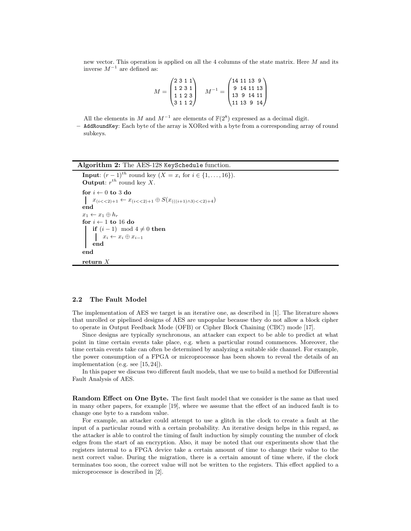new vector. This operation is applied on all the 4 columns of the state matrix. Here M and its inverse  $M^{-1}$  are defined as:

$$
M = \begin{pmatrix} 2 & 3 & 1 & 1 \\ 1 & 2 & 3 & 1 \\ 1 & 1 & 2 & 3 \\ 3 & 1 & 1 & 2 \end{pmatrix} \quad M^{-1} = \begin{pmatrix} 14 & 11 & 13 & 9 \\ 9 & 14 & 11 & 13 \\ 13 & 9 & 14 & 11 \\ 11 & 13 & 9 & 14 \end{pmatrix}
$$

All the elements in M and  $M^{-1}$  are elements of  $\mathbb{F}(2^8)$  expressed as a decimal digit.

– AddRoundKey: Each byte of the array is XORed with a byte from a corresponding array of round subkeys.

#### Algorithm 2: The AES-128 KeySchedule function.

```
Input: (r-1)^{th} round key (X = x_i \text{ for } i \in \{1, ..., 16\}).
Output: r^{th} round key X.
for i \leftarrow 0 to 3 do
x_{(i<<2)+1} \leftarrow x_{(i<<2)+1} \oplus S(x_{(((i+1)\wedge 3)<<2)+4})end
x_1 \leftarrow x_1 \oplus h_rfor i \leftarrow 1 to 16 do
    if (i - 1) mod 4 ≠ 0 then
      x_i \leftarrow x_i \oplus x_{i-1}end
end
return X
```
#### 2.2 The Fault Model

The implementation of AES we target is an iterative one, as described in [1]. The literature shows that unrolled or pipelined designs of AES are unpopular because they do not allow a block cipher to operate in Output Feedback Mode (OFB) or Cipher Block Chaining (CBC) mode [17].

Since designs are typically synchronous, an attacker can expect to be able to predict at what point in time certain events take place, e.g. when a particular round commences. Moreover, the time certain events take can often be determined by analyzing a suitable side channel. For example, the power consumption of a FPGA or microprocessor has been shown to reveal the details of an implementation (e.g. see [15, 24]).

In this paper we discuss two different fault models, that we use to build a method for Differential Fault Analysis of AES.

Random Effect on One Byte. The first fault model that we consider is the same as that used in many other papers, for example [19], where we assume that the effect of an induced fault is to change one byte to a random value.

For example, an attacker could attempt to use a glitch in the clock to create a fault at the input of a particular round with a certain probability. An iterative design helps in this regard, as the attacker is able to control the timing of fault induction by simply counting the number of clock edges from the start of an encryption. Also, it may be noted that our experiments show that the registers internal to a FPGA device take a certain amount of time to change their value to the next correct value. During the migration, there is a certain amount of time where, if the clock terminates too soon, the correct value will not be written to the registers. This effect applied to a microprocessor is described in [2].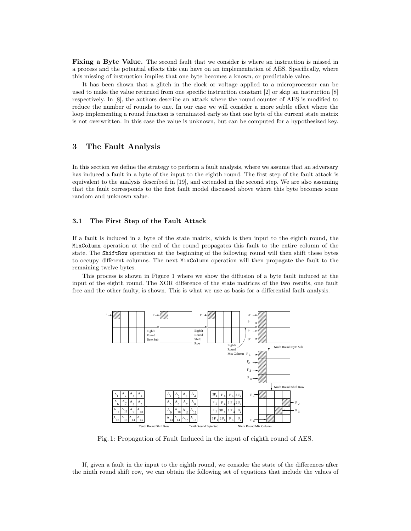Fixing a Byte Value. The second fault that we consider is where an instruction is missed in a process and the potential effects this can have on an implementation of AES. Specifically, where this missing of instruction implies that one byte becomes a known, or predictable value.

It has been shown that a glitch in the clock or voltage applied to a microprocessor can be used to make the value returned from one specific instruction constant [2] or skip an instruction [8] respectively. In [8], the authors describe an attack where the round counter of AES is modified to reduce the number of rounds to one. In our case we will consider a more subtle effect where the loop implementing a round function is terminated early so that one byte of the current state matrix is not overwritten. In this case the value is unknown, but can be computed for a hypothesized key.

# 3 The Fault Analysis

In this section we define the strategy to perform a fault analysis, where we assume that an adversary has induced a fault in a byte of the input to the eighth round. The first step of the fault attack is equivalent to the analysis described in [19], and extended in the second step. We are also assuming that the fault corresponds to the first fault model discussed above where this byte becomes some random and unknown value.

### 3.1 The First Step of the Fault Attack

If a fault is induced in a byte of the state matrix, which is then input to the eighth round, the MixColumn operation at the end of the round propagates this fault to the entire column of the state. The ShiftRow operation at the beginning of the following round will then shift these bytes to occupy different columns. The next MixColumn operation will then propagate the fault to the remaining twelve bytes.

This process is shown in Figure 1 where we show the diffusion of a byte fault induced at the input of the eighth round. The XOR difference of the state matrices of the two results, one fault free and the other faulty, is shown. This is what we use as basis for a differential fault analysis.



Fig. 1: Propagation of Fault Induced in the input of eighth round of AES.

If, given a fault in the input to the eighth round, we consider the state of the differences after the ninth round shift row, we can obtain the following set of equations that include the values of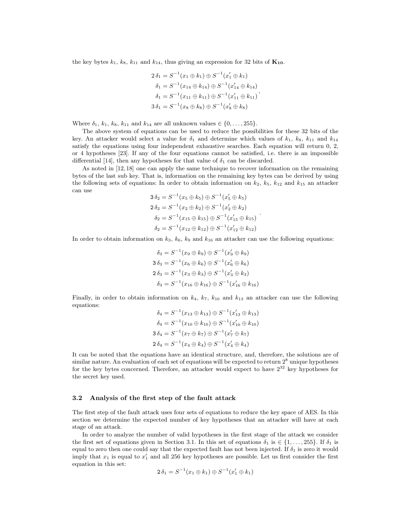the key bytes  $k_1$ ,  $k_8$ ,  $k_{11}$  and  $k_{14}$ , thus giving an expression for 32 bits of  $\mathbf{K}_{10}$ .

$$
2 \delta_1 = S^{-1}(x_1 \oplus k_1) \oplus S^{-1}(x'_1 \oplus k_1)
$$
  
\n
$$
\delta_1 = S^{-1}(x_{14} \oplus k_{14}) \oplus S^{-1}(x'_{14} \oplus k_{14})
$$
  
\n
$$
\delta_1 = S^{-1}(x_{11} \oplus k_{11}) \oplus S^{-1}(x'_{11} \oplus k_{11})
$$
  
\n
$$
3 \delta_1 = S^{-1}(x_8 \oplus k_8) \oplus S^{-1}(x'_8 \oplus k_8)
$$

Where  $\delta_1, k_1, k_8, k_{11}$  and  $k_{14}$  are all unknown values  $\in \{0, ..., 255\}.$ 

The above system of equations can be used to reduce the possibilities for these 32 bits of the key. An attacker would select a value for  $\delta_1$  and determine which values of  $k_1$ ,  $k_8$ ,  $k_{11}$  and  $k_{14}$ satisfy the equations using four independent exhaustive searches. Each equation will return 0, 2, or 4 hypotheses [23]. If any of the four equations cannot be satisfied, i.e. there is an impossible differential [14], then any hypotheses for that value of  $\delta_1$  can be discarded.

As noted in [12, 18] one can apply the same technique to recover information on the remaining bytes of the last sub key. That is, information on the remaining key bytes can be derived by using the following sets of equations: In order to obtain information on  $k_2$ ,  $k_5$ ,  $k_{12}$  and  $k_{15}$  an attacker can use

$$
3 \delta_2 = S^{-1}(x_5 \oplus k_5) \oplus S^{-1}(x'_5 \oplus k_5)
$$
  
\n
$$
2 \delta_2 = S^{-1}(x_2 \oplus k_2) \oplus S^{-1}(x'_2 \oplus k_2)
$$
  
\n
$$
\delta_2 = S^{-1}(x_{15} \oplus k_{15}) \oplus S^{-1}(x'_{15} \oplus k_{15})
$$
  
\n
$$
\delta_2 = S^{-1}(x_{12} \oplus k_{12}) \oplus S^{-1}(x'_{12} \oplus k_{12})
$$

In order to obtain information on  $k_3$ ,  $k_6$ ,  $k_9$  and  $k_{16}$  an attacker can use the following equations:

$$
\delta_3 = S^{-1}(x_9 \oplus k_9) \oplus S^{-1}(x'_9 \oplus k_9)
$$
  
\n
$$
3 \delta_3 = S^{-1}(x_6 \oplus k_6) \oplus S^{-1}(x'_6 \oplus k_6)
$$
  
\n
$$
2 \delta_3 = S^{-1}(x_3 \oplus k_3) \oplus S^{-1}(x'_3 \oplus k_3)
$$
  
\n
$$
\delta_3 = S^{-1}(x_{16} \oplus k_{16}) \oplus S^{-1}(x'_{16} \oplus k_{16})
$$

Finally, in order to obtain information on  $k_4$ ,  $k_7$ ,  $k_{10}$  and  $k_{13}$  an attacker can use the following equations:

$$
\delta_4 = S^{-1}(x_{13} \oplus k_{13}) \oplus S^{-1}(x'_{13} \oplus k_{13})
$$
  
\n
$$
\delta_4 = S^{-1}(x_{10} \oplus k_{10}) \oplus S^{-1}(x'_{10} \oplus k_{10})
$$
  
\n
$$
3\delta_4 = S^{-1}(x_7 \oplus k_7) \oplus S^{-1}(x'_7 \oplus k_7)
$$
  
\n
$$
2\delta_4 = S^{-1}(x_4 \oplus k_4) \oplus S^{-1}(x'_4 \oplus k_4)
$$

It can be noted that the equations have an identical structure, and, therefore, the solutions are of similar nature. An evaluation of each set of equations will be expected to return  $2^8$  unique hypotheses for the key bytes concerned. Therefore, an attacker would expect to have  $2^{32}$  key hypotheses for the secret key used.

#### 3.2 Analysis of the first step of the fault attack

The first step of the fault attack uses four sets of equations to reduce the key space of AES. In this section we determine the expected number of key hypotheses that an attacker will have at each stage of an attack.

In order to analyze the number of valid hypotheses in the first stage of the attack we consider the first set of equations given in Section 3.1. In this set of equations  $\delta_1$  is  $\in \{1, \ldots, 255\}$ . If  $\delta_1$  is equal to zero then one could say that the expected fault has not been injected. If  $\delta_1$  is zero it would imply that  $x_1$  is equal to  $x'_1$  and all 256 key hypotheses are possible. Let us first consider the first equation in this set:

$$
2 \delta_1 = S^{-1}(x_1 \oplus k_1) \oplus S^{-1}(x_1' \oplus k_1)
$$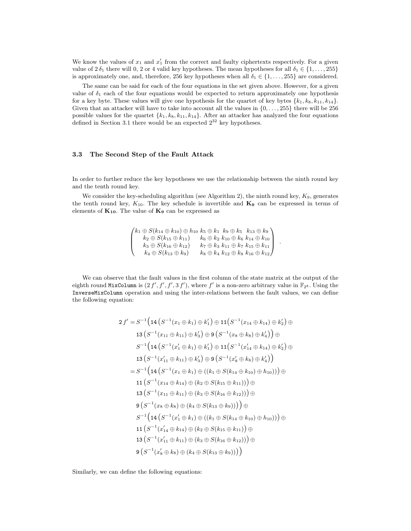We know the values of  $x_1$  and  $x'_1$  from the correct and faulty ciphertexts respectively. For a given value of  $2 \delta_1$  there will 0, 2 or 4 valid key hypotheses. The mean hypotheses for all  $\delta_1 \in \{1, \ldots, 255\}$ is approximately one, and, therefore, 256 key hypotheses when all  $\delta_1 \in \{1, \ldots, 255\}$  are considered.

The same can be said for each of the four equations in the set given above. However, for a given value of  $\delta_1$  each of the four equations would be expected to return approximately one hypothesis for a key byte. These values will give one hypothesis for the quartet of key bytes  $\{k_1, k_8, k_{11}, k_{14}\}.$ Given that an attacker will have to take into account all the values in  $\{0, \ldots, 255\}$  there will be 256 possible values for the quartet  ${k_1, k_8, k_{11}, k_{14}}$ . After an attacker has analyzed the four equations defined in Section 3.1 there would be an expected  $2^{32}$  key hypotheses.

#### 3.3 The Second Step of the Fault Attack

In order to further reduce the key hypotheses we use the relationship between the ninth round key and the tenth round key.

We consider the key-scheduling algorithm (see Algorithm 2), the ninth round key,  $K_9$ , generates the tenth round key,  $K_{10}$ . The key schedule is invertible and  $\mathbf{K}_{9}$  can be expressed in terms of elements of  $K_{10}$ . The value of  $K_9$  can be expressed as

$$
\begin{pmatrix} k_1 \oplus S(k_{14} \oplus k_{10}) \oplus h_{10} & k_5 \oplus k_1 & k_9 \oplus k_5 & k_{13} \oplus k_9 \\ k_2 \oplus S(k_{15} \oplus k_{11}) & k_6 \oplus k_2 & k_{10} \oplus k_6 & k_{14} \oplus k_{10} \\ k_3 \oplus S(k_{16} \oplus k_{12}) & k_7 \oplus k_3 & k_{11} \oplus k_7 & k_{15} \oplus k_{11} \\ k_4 \oplus S(k_{13} \oplus k_9) & k_8 \oplus k_4 & k_{12} \oplus k_8 & k_{16} \oplus k_{12} \end{pmatrix}.
$$

We can observe that the fault values in the first column of the state matrix at the output of the eighth round MixColumn is  $(2f', f', f', 3f')$ , where f' is a non-zero arbitrary value in  $\mathbb{F}_{2^8}$ . Using the InverseMixColumn operation and using the inter-relations between the fault values, we can define the following equation:

$$
2f' = S^{-1} \Big( 14 \left( S^{-1} (x_1 \oplus k_1) \oplus k'_1 \right) \oplus 11 \Big( S^{-1} (x_{14} \oplus k_{14}) \oplus k'_2 \Big) \oplus
$$
  
\n
$$
13 \left( S^{-1} (x_{11} \oplus k_{11}) \oplus k'_3 \right) \oplus 9 \left( S^{-1} (x_8 \oplus k_8) \oplus k'_4 \right) \Big) \oplus
$$
  
\n
$$
S^{-1} \Big( 14 \left( S^{-1} (x'_1 \oplus k_1) \oplus k'_1 \right) \oplus 11 \Big( S^{-1} (x'_{14} \oplus k_{14}) \oplus k'_2 \Big) \oplus
$$
  
\n
$$
13 \left( S^{-1} (x'_{11} \oplus k_{11}) \oplus k'_3 \right) \oplus 9 \left( S^{-1} (x'_8 \oplus k_8) \oplus k'_4 \right) \Big)
$$
  
\n
$$
= S^{-1} \Big( 14 \left( S^{-1} (x_1 \oplus k_1) \oplus ((k_1 \oplus S(k_{14} \oplus k_{10}) \oplus h_{10})) \Big) \oplus
$$
  
\n
$$
11 \left( S^{-1} (x_{14} \oplus k_{14}) \oplus (k_2 \oplus S(k_{15} \oplus k_{11})) \Big) \oplus
$$
  
\n
$$
13 \left( S^{-1} (x_{11} \oplus k_{11}) \oplus (k_3 \oplus S(k_{16} \oplus k_{12})) \Big) \oplus
$$
  
\n
$$
9 \left( S^{-1} (x_8 \oplus k_8) \oplus (k_4 \oplus S(k_{13} \oplus k_9)) \Big) \Big) \oplus
$$
  
\n
$$
S^{-1} \Big( 14 \left( S^{-1} (x'_1 \oplus k_1) \oplus ((k_1 \oplus S(k_{14} \oplus k_{10}) \oplus h_{10})) \Big) \oplus
$$
  
\n
$$
11 \left( S^{-1} (x'_{14} \oplus k_{14}) \oplus (k_2 \oplus S(k_{15} \oplus k_{11})) \oplus
$$
  
\n
$$
13 \left
$$

Similarly, we can define the following equations: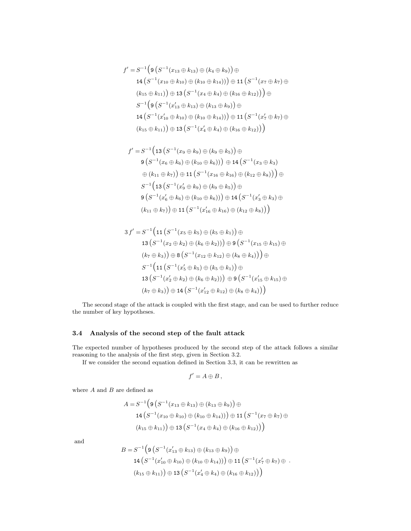$$
f' = S^{-1} \Big( \mathfrak{g} \left( S^{-1} (x_{13} \oplus k_{13}) \oplus (k_4 \oplus k_9) \right) \oplus \mathfrak{14} \left( S^{-1} (x_{10} \oplus k_{10}) \oplus (k_{10} \oplus k_{14}) \right) \right) \oplus \mathfrak{11} \left( S^{-1} (x_7 \oplus k_7) \oplus \n(k_{15} \oplus k_{11}) \right) \oplus \mathfrak{13} \left( S^{-1} (x_4 \oplus k_4) \oplus (k_{16} \oplus k_{12}) \right) \Big) \oplus \nS^{-1} \Big( \mathfrak{g} \left( S^{-1} (x'_{13} \oplus k_{13}) \oplus (k_{13} \oplus k_9) \right) \oplus \mathfrak{14} \left( S^{-1} (x'_{10} \oplus k_{10}) \oplus (k_{10} \oplus k_{14}) \right) \Big) \oplus \mathfrak{11} \left( S^{-1} (x'_{7} \oplus k_{7}) \oplus \n(k_{15} \oplus k_{11}) \right) \oplus \mathfrak{13} \left( S^{-1} (x'_{4} \oplus k_{4}) \oplus (k_{16} \oplus k_{12}) \right) \Big)
$$

$$
f' = S^{-1} \Big( 13 \left( S^{-1} (x_9 \oplus k_9) \oplus (k_9 \oplus k_5) \right) \oplus
$$
  
\n
$$
9 \left( S^{-1} (x_6 \oplus k_6) \oplus (k_{10} \oplus k_6) \right) \oplus 14 \left( S^{-1} (x_3 \oplus k_3) \right)
$$
  
\n
$$
\oplus (k_{11} \oplus k_7) \Big) \oplus 11 \left( S^{-1} (x_{16} \oplus k_{16}) \oplus (k_{12} \oplus k_8) \right) \Big) \oplus
$$
  
\n
$$
S^{-1} \Big( 13 \left( S^{-1} (x'_9 \oplus k_9) \oplus (k_9 \oplus k_5) \right) \oplus
$$
  
\n
$$
9 \left( S^{-1} (x'_6 \oplus k_6) \oplus (k_{10} \oplus k_6) \right) \oplus 14 \left( S^{-1} (x'_3 \oplus k_3) \oplus (k_{11} \oplus k_7) \right) \oplus 11 \left( S^{-1} (x'_{16} \oplus k_{16}) \oplus (k_{12} \oplus k_8) \right) \Big)
$$

$$
3 f' = S^{-1} (11 (S^{-1} (x_5 \oplus k_5) \oplus (k_5 \oplus k_1)) \oplus
$$
  
\n
$$
13 (S^{-1} (x_2 \oplus k_2) \oplus (k_6 \oplus k_2))) \oplus 9 (S^{-1} (x_{15} \oplus k_{15}) \oplus
$$
  
\n
$$
(k_7 \oplus k_3)) \oplus 8 (S^{-1} (x_{12} \oplus k_{12}) \oplus (k_8 \oplus k_4))) \oplus
$$
  
\n
$$
S^{-1} (11 (S^{-1} (x_5' \oplus k_5) \oplus (k_5 \oplus k_1)) \oplus
$$
  
\n
$$
13 (S^{-1} (x_2' \oplus k_2) \oplus (k_6 \oplus k_2))) \oplus 9 (S^{-1} (x_{15}' \oplus k_{15}) \oplus
$$
  
\n
$$
(k_7 \oplus k_3)) \oplus 14 (S^{-1} (x_{12}' \oplus k_{12}) \oplus (k_8 \oplus k_4)))
$$

The second stage of the attack is coupled with the first stage, and can be used to further reduce the number of key hypotheses.

# 3.4 Analysis of the second step of the fault attack

The expected number of hypotheses produced by the second step of the attack follows a similar reasoning to the analysis of the first step, given in Section 3.2.

If we consider the second equation defined in Section 3.3, it can be rewritten as

$$
f'=A\oplus B\,,
$$

where  ${\cal A}$  and  ${\cal B}$  are defined as

$$
A = S^{-1} \Big( \mathfrak{g} \left( S^{-1} (x_{13} \oplus k_{13}) \oplus (k_{13} \oplus k_{9}) \right) \oplus \mathfrak{14} \left( S^{-1} (x_{10} \oplus k_{10}) \oplus (k_{10} \oplus k_{14}) \right) \right) \oplus \mathfrak{11} \left( S^{-1} (x_{7} \oplus k_{7}) \oplus (k_{15} \oplus k_{11}) \right) \oplus \mathfrak{13} \left( S^{-1} (x_{4} \oplus k_{4}) \oplus (k_{16} \oplus k_{12}) \right) \Big)
$$

and

$$
B = S^{-1} \Big( \mathfrak{g} \left( S^{-1} (x'_{13} \oplus k_{13}) \oplus (k_{13} \oplus k_{9}) \right) \oplus \mathfrak{14} \left( S^{-1} (x'_{10} \oplus k_{10}) \oplus (k_{10} \oplus k_{14}) \right) \right) \oplus \mathfrak{11} \left( S^{-1} (x'_{7} \oplus k_{7}) \oplus \n(k_{15} \oplus k_{11}) \right) \oplus \mathfrak{13} \left( S^{-1} (x'_{4} \oplus k_{4}) \oplus (k_{16} \oplus k_{12}) \right) \Big)
$$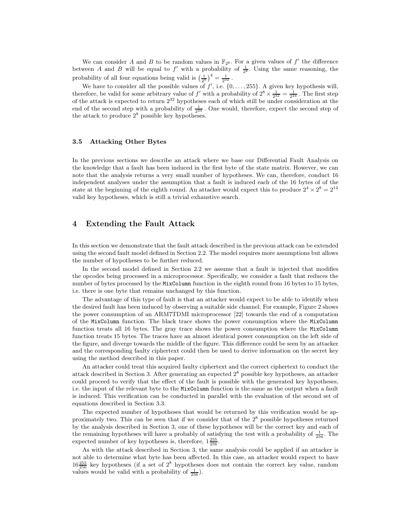We can consider A and B to be random values in  $\mathbb{F}_{28}$ . For a given values of  $f'$  the difference between A and B will be equal to  $f'$  with a probability of  $\frac{1}{2^8}$ . Using the same reasoning, the probability of all four equations being valid is  $\left(\frac{1}{2^8}\right)^4 = \frac{1}{2^{32}}$ .

We have to consider all the possible values of  $f'$ , i.e.  $\{0, \ldots, 255\}$ . A given key hypothesis will, therefore, be valid for some arbitrary value of f' with a probability of  $2^8 \times \frac{1}{2^{32}} = \frac{1}{2^{24}}$ . The first step of the attack is expected to return  $2^{32}$  hypotheses each of which still be under consideration at the end of the second step with a probability of  $\frac{1}{2^{24}}$ . One would, therefore, expect the second step of the attack to produce  $2^8$  possible key hypotheses.

### 3.5 Attacking Other Bytes

In the previous sections we describe an attack where we base our Differential Fault Analysis on the knowledge that a fault has been induced in the first byte of the state matrix. However, we can note that the analysis returns a very small number of hypotheses. We can, therefore, conduct 16 independent analyses under the assumption that a fault is induced each of the 16 bytes of of the state at the beginning of the eighth round. An attacker would expect this to produce  $2^4 \times 2^8 = 2^{12}$ valid key hypotheses, which is still a trivial exhaustive search.

# 4 Extending the Fault Attack

In this section we demonstrate that the fault attack described in the previous attack can be extended using the second fault model defined in Section 2.2. The model requires more assumptions but allows the number of hypotheses to be further reduced.

In the second model defined in Section 2.2 we assume that a fault is injected that modifies the opcodes being processed in a microprocessor. Specifically, we consider a fault that reduces the number of bytes processed by the MixColumn function in the eighth round from 16 bytes to 15 bytes, i.e. there is one byte that remains unchanged by this function.

The advantage of this type of fault is that an attacker would expect to be able to identify when the desired fault has been induced by observing a suitable side channel. For example, Figure 2 shows the power consumption of an ARM7TDMI microprocessor [22] towards the end of a computation of the MixColumn function. The black trace shows the power consumption where the MixColumn function treats all 16 bytes. The gray trace shows the power consumption where the MixColumn function treats 15 bytes. The traces have an almost identical power consumption on the left side of the figure, and diverge towards the middle of the figure. This difference could be seen by an attacker and the corresponding faulty ciphertext could then be used to derive information on the secret key using the method described in this paper.

An attacker could treat this acquired faulty ciphertext and the correct ciphertext to conduct the attack described in Section 3. After generating an expected  $2^8$  possible key hypotheses, an attacker could proceed to verify that the effect of the fault is possible with the generated key hypotheses, i.e. the input of the relevant byte to the MixColumn function is the same as the output when a fault is induced. This verification can be conducted in parallel with the evaluation of the second set of equations described in Section 3.3.

The expected number of hypotheses that would be returned by this verification would be approximately two. This can be seen that if we consider that of the  $2<sup>8</sup>$  possible hypotheses returned by the analysis described in Section 3, one of these hypotheses will be the correct key and each of the remaining hypotheses will have a probably of satisfying the test with a probability of  $\frac{1}{256}$ . The expected number of key hypotheses is, therefore,  $1\frac{255}{256}$ .

As with the attack described in Section 3, the same analysis could be applied if an attacker is not able to determine what byte has been affected. In this case, an attacker would expect to have  $16\frac{255}{256}$  key hypotheses (if a set of  $2^8$  hypotheses does not contain the correct key value, random values would be valid with a probability of  $\frac{1}{256}$ ).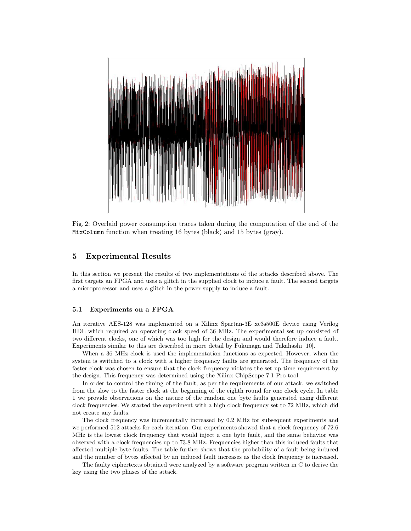

Fig. 2: Overlaid power consumption traces taken during the computation of the end of the MixColumn function when treating 16 bytes (black) and 15 bytes (gray).

# 5 Experimental Results

In this section we present the results of two implementations of the attacks described above. The first targets an FPGA and uses a glitch in the supplied clock to induce a fault. The second targets a microprocessor and uses a glitch in the power supply to induce a fault.

### 5.1 Experiments on a FPGA

An iterative AES-128 was implemented on a Xilinx Spartan-3E xc3s500E device using Verilog HDL which required an operating clock speed of 36 MHz. The experimental set up consisted of two different clocks, one of which was too high for the design and would therefore induce a fault. Experiments similar to this are described in more detail by Fukunaga and Takahashi [10].

When a 36 MHz clock is used the implementation functions as expected. However, when the system is switched to a clock with a higher frequency faults are generated. The frequency of the faster clock was chosen to ensure that the clock frequency violates the set up time requirement by the design. This frequency was determined using the Xilinx ChipScope 7.1 Pro tool.

In order to control the timing of the fault, as per the requirements of our attack, we switched from the slow to the faster clock at the beginning of the eighth round for one clock cycle. In table 1 we provide observations on the nature of the random one byte faults generated using different clock frequencies. We started the experiment with a high clock frequency set to 72 MHz, which did not create any faults.

The clock frequency was incrementally increased by 0.2 MHz for subsequent experiments and we performed 512 attacks for each iteration. Our experiments showed that a clock frequency of 72.6 MHz is the lowest clock frequency that would inject a one byte fault, and the same behavior was observed with a clock frequencies up to 73.8 MHz. Frequencies higher than this induced faults that affected multiple byte faults. The table further shows that the probability of a fault being induced and the number of bytes affected by an induced fault increases as the clock frequency is increased.

The faulty ciphertexts obtained were analyzed by a software program written in C to derive the key using the two phases of the attack.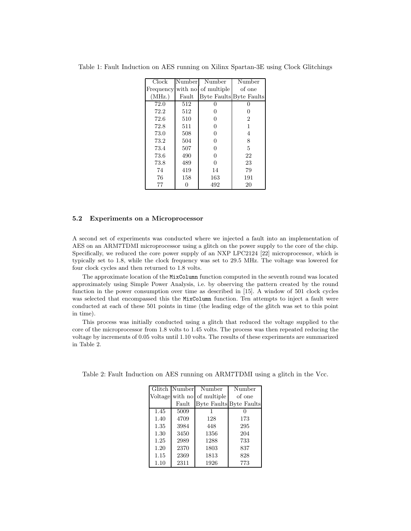| Clock  | Number | Number                        | Number                         |
|--------|--------|-------------------------------|--------------------------------|
|        |        | Frequency with no of multiple | of one                         |
| (MHz.) | Fault  |                               | <b>Byte Faults Byte Faults</b> |
| 72.0   | 512    |                               | 0                              |
| 72.2   | 512    |                               | 0                              |
| 72.6   | 510    | 0                             | $\overline{2}$                 |
| 72.8   | 511    | 0                             | 1                              |
| 73.0   | 508    | 0                             | 4                              |
| 73.2   | 504    | 0                             | 8                              |
| 73.4   | 507    | 0                             | 5                              |
| 73.6   | 490    | 0                             | 22                             |
| 73.8   | 489    | $\Omega$                      | 23                             |
| 74     | 419    | 14                            | 79                             |
| 76     | 158    | 163                           | 191                            |
| 77     |        | 492                           | 20                             |

Table 1: Fault Induction on AES running on Xilinx Spartan-3E using Clock Glitchings

#### 5.2 Experiments on a Microprocessor

A second set of experiments was conducted where we injected a fault into an implementation of AES on an ARM7TDMI microprocessor using a glitch on the power supply to the core of the chip. Specifically, we reduced the core power supply of an NXP LPC2124 [22] microprocessor, which is typically set to 1.8, while the clock frequency was set to 29.5 MHz. The voltage was lowered for four clock cycles and then returned to 1.8 volts.

The approximate location of the MixColumn function computed in the seventh round was located approximately using Simple Power Analysis, i.e. by observing the pattern created by the round function in the power consumption over time as described in [15]. A window of 501 clock cycles was selected that encompassed this the MixColumn function. Ten attempts to inject a fault were conducted at each of these 501 points in time (the leading edge of the glitch was set to this point in time).

This process was initially conducted using a glitch that reduced the voltage supplied to the core of the microprocessor from 1.8 volts to 1.45 volts. The process was then repeated reducing the voltage by increments of 0.05 volts until 1.10 volts. The results of these experiments are summarized in Table 2.

|      | Glitch Number | Number                      | Number                  |
|------|---------------|-----------------------------|-------------------------|
|      |               | Voltage with no of multiple | of one                  |
|      | Fault         |                             | Byte Faults Byte Faults |
| 1.45 | 5009          |                             |                         |
| 1.40 | 4709          | 128                         | 173                     |
| 1.35 | 3984          | 448                         | 295                     |
| 1.30 | 3450          | 1356                        | 204                     |
| 1.25 | 2989          | 1288                        | 733                     |
| 1.20 | 2370          | 1803                        | 837                     |
| 1.15 | 2369          | 1813                        | 828                     |
| 1.10 | 2311          | 1926                        | 773                     |

Table 2: Fault Induction on AES running on ARM7TDMI using a glitch in the Vcc.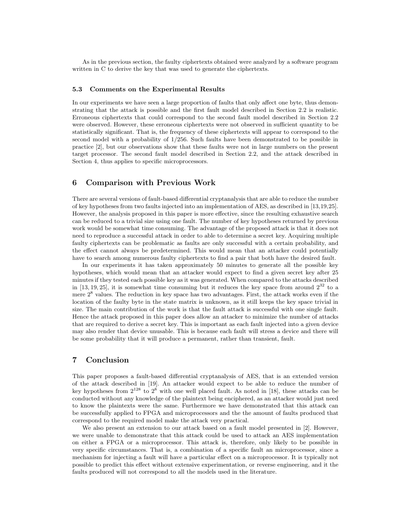As in the previous section, the faulty ciphertexts obtained were analyzed by a software program written in C to derive the key that was used to generate the ciphertexts.

#### 5.3 Comments on the Experimental Results

In our experiments we have seen a large proportion of faults that only affect one byte, thus demonstrating that the attack is possible and the first fault model described in Section 2.2 is realistic. Erroneous ciphertexts that could correspond to the second fault model described in Section 2.2 were observed. However, these erroneous ciphertexts were not observed in sufficient quantity to be statistically significant. That is, the frequency of these ciphertexts will appear to correspond to the second model with a probability of 1/256. Such faults have been demonstrated to be possible in practice [2], but our observations show that these faults were not in large numbers on the present target processor. The second fault model described in Section 2.2, and the attack described in Section 4, thus applies to specific microprocessors.

# 6 Comparison with Previous Work

There are several versions of fault-based differential cryptanalysis that are able to reduce the number of key hypotheses from two faults injected into an implementation of AES, as described in [13,19,25]. However, the analysis proposed in this paper is more effective, since the resulting exhaustive search can be reduced to a trivial size using one fault. The number of key hypotheses returned by previous work would be somewhat time consuming. The advantage of the proposed attack is that it does not need to reproduce a successful attack in order to able to determine a secret key. Acquiring multiple faulty ciphertexts can be problematic as faults are only successful with a certain probability, and the effect cannot always be predetermined. This would mean that an attacker could potentially have to search among numerous faulty ciphertexts to find a pair that both have the desired fault.

In our experiments it has taken approximately 50 minutes to generate all the possible key hypotheses, which would mean that an attacker would expect to find a given secret key after 25 minutes if they tested each possible key as it was generated. When compared to the attacks described in [13, 19, 25], it is somewhat time consuming but it reduces the key space from around  $2^{32}$  to a mere  $2<sup>8</sup>$  values. The reduction in key space has two advantages. First, the attack works even if the location of the faulty byte in the state matrix is unknown, as it still keeps the key space trivial in size. The main contribution of the work is that the fault attack is successful with one single fault. Hence the attack proposed in this paper does allow an attacker to minimize the number of attacks that are required to derive a secret key. This is important as each fault injected into a given device may also render that device unusable. This is because each fault will stress a device and there will be some probability that it will produce a permanent, rather than transient, fault.

# 7 Conclusion

This paper proposes a fault-based differential cryptanalysis of AES, that is an extended version of the attack described in [19]. An attacker would expect to be able to reduce the number of key hypotheses from  $2^{128}$  to  $2^8$  with one well placed fault. As noted in [18], these attacks can be conducted without any knowledge of the plaintext being enciphered, as an attacker would just need to know the plaintexts were the same. Furthermore we have demonstrated that this attack can be successfully applied to FPGA and microprocessors and the the amount of faults produced that correspond to the required model make the attack very practical.

We also present an extension to our attack based on a fault model presented in [2]. However, we were unable to demonstrate that this attack could be used to attack an AES implementation on either a FPGA or a microprocessor. This attack is, therefore, only likely to be possible in very specific circumstances. That is, a combination of a specific fault an microprocessor, since a mechanism for injecting a fault will have a particular effect on a microprocessor. It is typically not possible to predict this effect without extensive experimentation, or reverse engineering, and it the faults produced will not correspond to all the models used in the literature.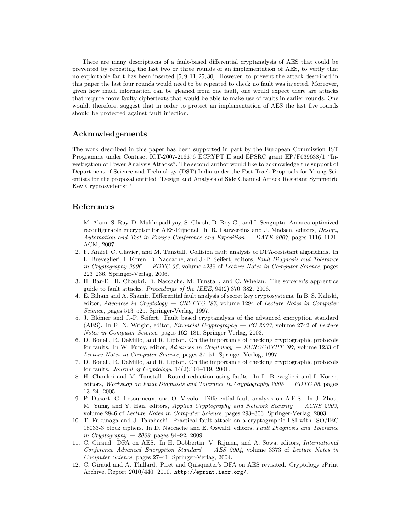There are many descriptions of a fault-based differential cryptanalysis of AES that could be prevented by repeating the last two or three rounds of an implementation of AES, to verify that no exploitable fault has been inserted [5, 9, 11, 25, 30]. However, to prevent the attack described in this paper the last four rounds would need to be repeated to check no fault was injected. Moreover, given how much information can be gleaned from one fault, one would expect there are attacks that require more faulty ciphertexts that would be able to make use of faults in earlier rounds. One would, therefore, suggest that in order to protect an implementation of AES the last five rounds should be protected against fault injection.

### Acknowledgements

The work described in this paper has been supported in part by the European Commission IST Programme under Contract ICT-2007-216676 ECRYPT II and EPSRC grant EP/F039638/1 "Investigation of Power Analysis Attacks". The second author would like to acknowledge the support of Department of Science and Technology (DST) India under the Fast Track Proposals for Young Scientists for the proposal entitled "Design and Analysis of Side Channel Attack Resistant Symmetric Key Cryptosystems".'

### References

- 1. M. Alam, S. Ray, D. Mukhopadhyay, S. Ghosh, D. Roy C., and I. Sengupta. An area optimized reconfigurable encryptor for AES-Rijndael. In R. Lauwereins and J. Madsen, editors, *Design*, Automation and Test in Europe Conference and Exposition — DATE 2007, pages 1116–1121. ACM, 2007.
- 2. F. Amiel, C. Clavier, and M. Tunstall. Collision fault analysis of DPA-resistant algorithms. In L. Breveglieri, I. Koren, D. Naccache, and J.-P. Seifert, editors, Fault Diagnosis and Tolerance in Cryptography  $2006 - FDTC$  06, volume 4236 of Lecture Notes in Computer Science, pages 223–236. Springer-Verlag, 2006.
- 3. H. Bar-El, H. Choukri, D. Naccache, M. Tunstall, and C. Whelan. The sorcerer's apprentice guide to fault attacks. Proceedings of the IEEE, 94(2):370–382, 2006.
- 4. E. Biham and A. Shamir. Differential fault analysis of secret key cryptosystems. In B. S. Kaliski, editor, Advances in Cryptology — CRYPTO '97, volume 1294 of Lecture Notes in Computer Science, pages 513–525. Springer-Verlag, 1997.
- 5. J. Blömer and J.-P. Seifert. Fault based cryptanalysis of the advanced encryption standard (AES). In R. N. Wright, editor, Financial Cryptography  $-FC 2003$ , volume 2742 of Lecture Notes in Computer Science, pages 162–181. Springer-Verlag, 2003.
- 6. D. Boneh, R. DeMillo, and R. Lipton. On the importance of checking cryptographic protocols for faults. In W. Fumy, editor, Advances in Cryptology —  $EUROCRYPT'$  '97, volume 1233 of Lecture Notes in Computer Science, pages 37–51. Springer-Verlag, 1997.
- 7. D. Boneh, R. DeMillo, and R. Lipton. On the importance of checking cryptographic protocols for faults. *Journal of Cryptology*,  $14(2):101-119$ ,  $2001$ .
- 8. H. Choukri and M. Tunstall. Round reduction using faults. In L. Breveglieri and I. Koren, editors, Workshop on Fault Diagnosis and Tolerance in Cryptography  $2005 - FDTC$  05, pages 13–24, 2005.
- 9. P. Dusart, G. Letourneux, and O. Vivolo. Differential fault analysis on A.E.S. In J. Zhou, M. Yung, and Y. Han, editors, Applied Cryptography and Network Security - ACNS 2003, volume 2846 of Lecture Notes in Computer Science, pages 293–306. Springer-Verlag, 2003.
- 10. T. Fukunaga and J. Takahashi. Practical fault attack on a cryptographic LSI with ISO/IEC 18033-3 block ciphers. In D. Naccache and E. Oswald, editors, Fault Diagnosis and Tolerance in Cryptography —  $2009$ , pages 84–92, 2009.
- 11. C. Giraud. DFA on AES. In H. Dobbertin, V. Rijmen, and A. Sowa, editors, International Conference Advanced Encryption Standard  $-$  AES 2004, volume 3373 of Lecture Notes in Computer Science, pages 27–41. Springer-Verlag, 2004.
- 12. C. Giraud and A. Thillard. Piret and Quisquater's DFA on AES revisited. Cryptology ePrint Archive, Report 2010/440, 2010. http://eprint.iacr.org/.